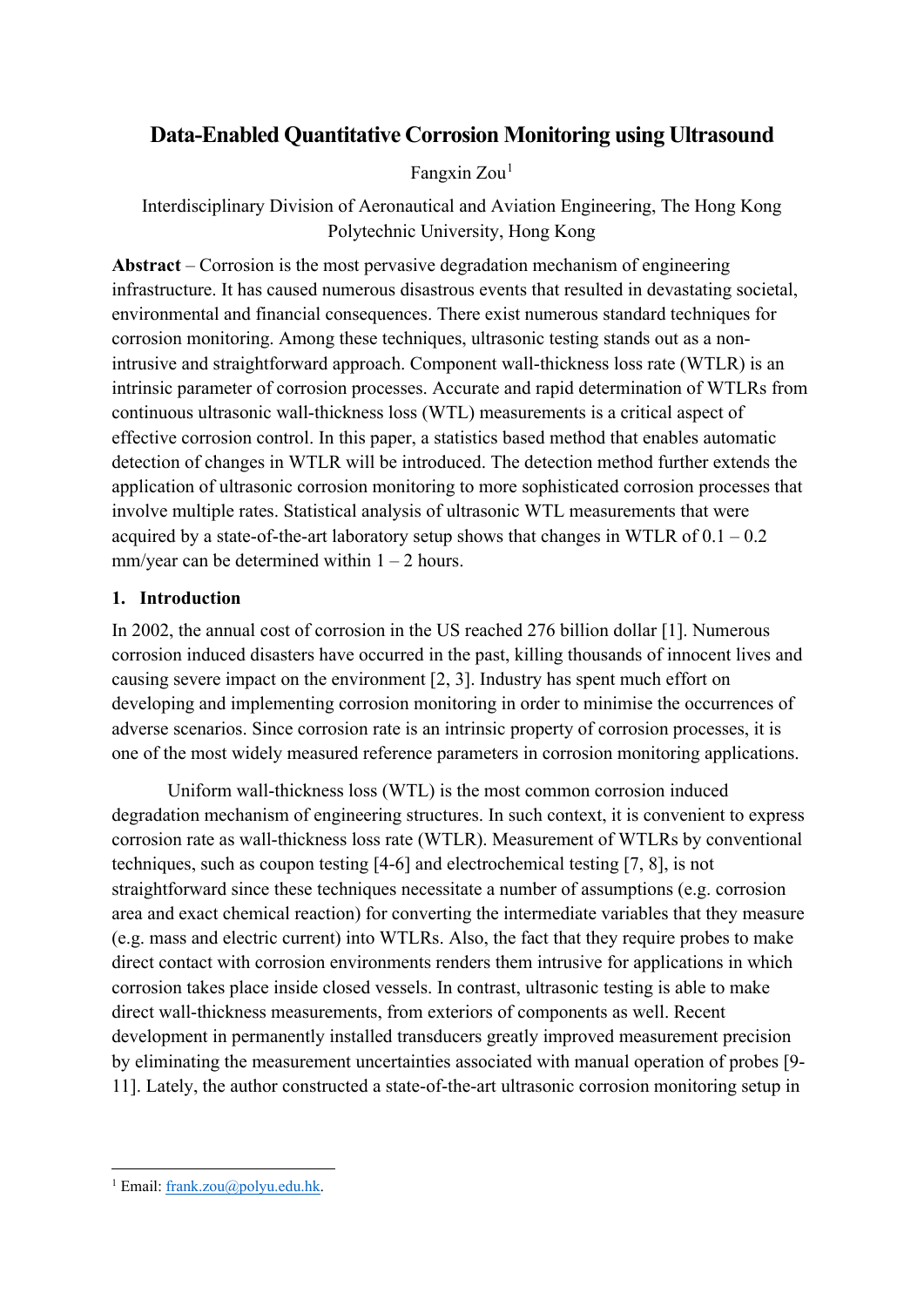This is a post-peer-review, pre-copyedit version of an article published in Data-Enabled Discovery and Applications. The final authenticated version is available online at: http://dx.doi.org/10.1007/s41688-018-0021-6

# **Data-Enabled Quantitative Corrosion Monitoring using Ultrasound**

Fangxin Zou<sup>[1](#page-0-0)</sup>

Interdisciplinary Division of Aeronautical and Aviation Engineering, The Hong Kong Polytechnic University, Hong Kong

**Abstract** – Corrosion is the most pervasive degradation mechanism of engineering infrastructure. It has caused numerous disastrous events that resulted in devastating societal, environmental and financial consequences. There exist numerous standard techniques for corrosion monitoring. Among these techniques, ultrasonic testing stands out as a nonintrusive and straightforward approach. Component wall-thickness loss rate (WTLR) is an intrinsic parameter of corrosion processes. Accurate and rapid determination of WTLRs from continuous ultrasonic wall-thickness loss (WTL) measurements is a critical aspect of effective corrosion control. In this paper, a statistics based method that enables automatic detection of changes in WTLR will be introduced. The detection method further extends the application of ultrasonic corrosion monitoring to more sophisticated corrosion processes that involve multiple rates. Statistical analysis of ultrasonic WTL measurements that were acquired by a state-of-the-art laboratory setup shows that changes in WTLR of  $0.1 - 0.2$ mm/year can be determined within  $1 - 2$  hours.

## **1. Introduction**

In 2002, the annual cost of corrosion in the US reached 276 billion dollar [1]. Numerous corrosion induced disasters have occurred in the past, killing thousands of innocent lives and causing severe impact on the environment [2, 3]. Industry has spent much effort on developing and implementing corrosion monitoring in order to minimise the occurrences of adverse scenarios. Since corrosion rate is an intrinsic property of corrosion processes, it is one of the most widely measured reference parameters in corrosion monitoring applications.

Uniform wall-thickness loss (WTL) is the most common corrosion induced degradation mechanism of engineering structures. In such context, it is convenient to express corrosion rate as wall-thickness loss rate (WTLR). Measurement of WTLRs by conventional techniques, such as coupon testing [4-6] and electrochemical testing [7, 8], is not straightforward since these techniques necessitate a number of assumptions (e.g. corrosion area and exact chemical reaction) for converting the intermediate variables that they measure (e.g. mass and electric current) into WTLRs. Also, the fact that they require probes to make direct contact with corrosion environments renders them intrusive for applications in which corrosion takes place inside closed vessels. In contrast, ultrasonic testing is able to make direct wall-thickness measurements, from exteriors of components as well. Recent development in permanently installed transducers greatly improved measurement precision by eliminating the measurement uncertainties associated with manual operation of probes [9- 11]. Lately, the author constructed a state-of-the-art ultrasonic corrosion monitoring setup in

<span id="page-0-0"></span><sup>&</sup>lt;sup>1</sup> Email: frank.zou@polyu.edu.hk.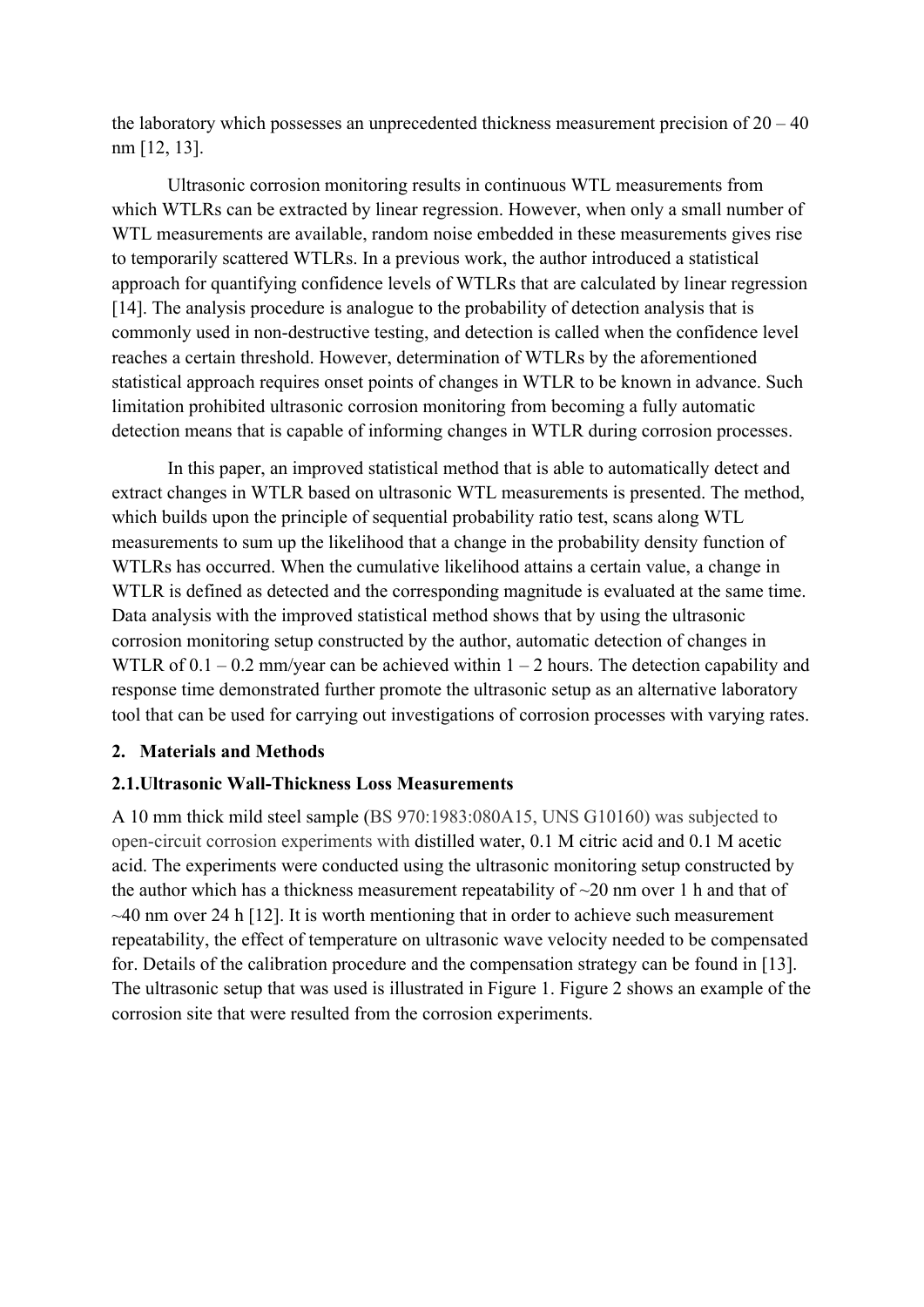the laboratory which possesses an unprecedented thickness measurement precision of  $20 - 40$ nm [12, 13].

Ultrasonic corrosion monitoring results in continuous WTL measurements from which WTLRs can be extracted by linear regression. However, when only a small number of WTL measurements are available, random noise embedded in these measurements gives rise to temporarily scattered WTLRs. In a previous work, the author introduced a statistical approach for quantifying confidence levels of WTLRs that are calculated by linear regression [14]. The analysis procedure is analogue to the probability of detection analysis that is commonly used in non-destructive testing, and detection is called when the confidence level reaches a certain threshold. However, determination of WTLRs by the aforementioned statistical approach requires onset points of changes in WTLR to be known in advance. Such limitation prohibited ultrasonic corrosion monitoring from becoming a fully automatic detection means that is capable of informing changes in WTLR during corrosion processes.

In this paper, an improved statistical method that is able to automatically detect and extract changes in WTLR based on ultrasonic WTL measurements is presented. The method, which builds upon the principle of sequential probability ratio test, scans along WTL measurements to sum up the likelihood that a change in the probability density function of WTLRs has occurred. When the cumulative likelihood attains a certain value, a change in WTLR is defined as detected and the corresponding magnitude is evaluated at the same time. Data analysis with the improved statistical method shows that by using the ultrasonic corrosion monitoring setup constructed by the author, automatic detection of changes in WTLR of  $0.1 - 0.2$  mm/year can be achieved within  $1 - 2$  hours. The detection capability and response time demonstrated further promote the ultrasonic setup as an alternative laboratory tool that can be used for carrying out investigations of corrosion processes with varying rates.

## **2. Materials and Methods**

#### **2.1.Ultrasonic Wall-Thickness Loss Measurements**

A 10 mm thick mild steel sample (BS 970:1983:080A15, UNS G10160) was subjected to open-circuit corrosion experiments with distilled water, 0.1 M citric acid and 0.1 M acetic acid. The experiments were conducted using the ultrasonic monitoring setup constructed by the author which has a thickness measurement repeatability of  $\sim$ 20 nm over 1 h and that of  $\sim$ 40 nm over 24 h [12]. It is worth mentioning that in order to achieve such measurement repeatability, the effect of temperature on ultrasonic wave velocity needed to be compensated for. Details of the calibration procedure and the compensation strategy can be found in [13]. The ultrasonic setup that was used is illustrated in Figure 1. Figure 2 shows an example of the corrosion site that were resulted from the corrosion experiments.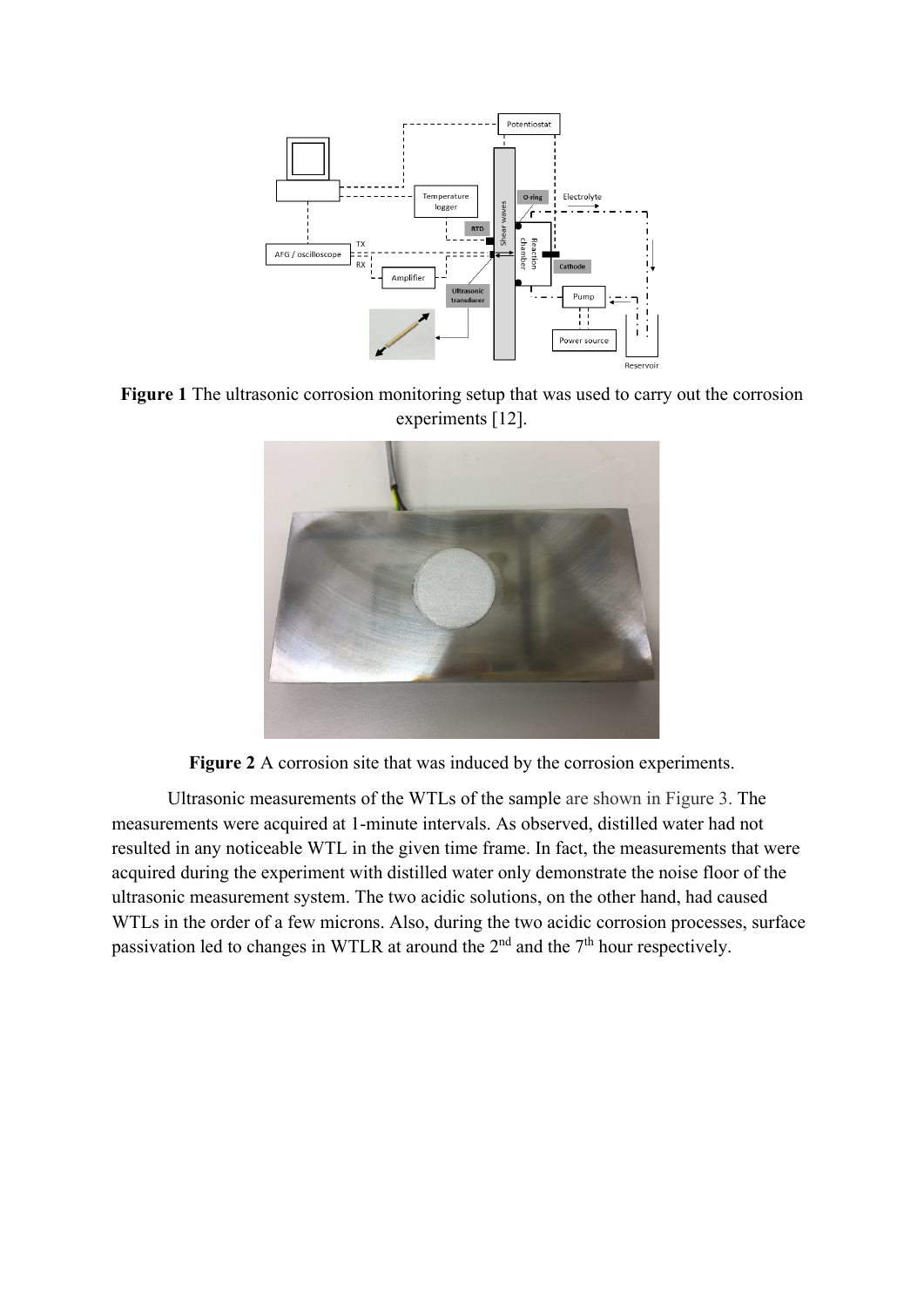

**Figure 1** The ultrasonic corrosion monitoring setup that was used to carry out the corrosion experiments [12].



**Figure 2** A corrosion site that was induced by the corrosion experiments.

Ultrasonic measurements of the WTLs of the sample are shown in Figure 3. The measurements were acquired at 1-minute intervals. As observed, distilled water had not resulted in any noticeable WTL in the given time frame. In fact, the measurements that were acquired during the experiment with distilled water only demonstrate the noise floor of the ultrasonic measurement system. The two acidic solutions, on the other hand, had caused WTLs in the order of a few microns. Also, during the two acidic corrosion processes, surface passivation led to changes in WTLR at around the  $2<sup>nd</sup>$  and the  $7<sup>th</sup>$  hour respectively.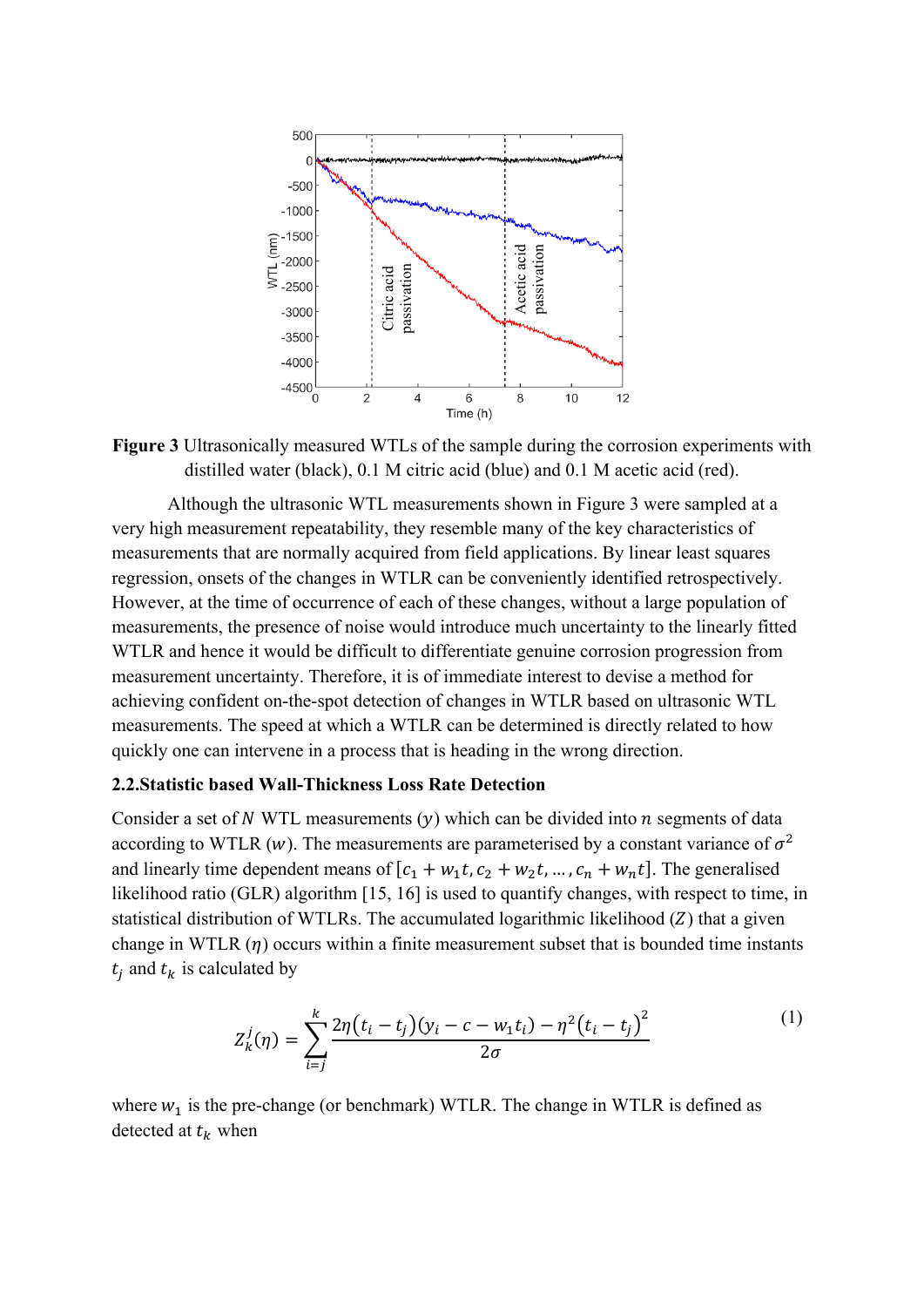

**Figure 3** Ultrasonically measured WTLs of the sample during the corrosion experiments with distilled water (black), 0.1 M citric acid (blue) and 0.1 M acetic acid (red).

Although the ultrasonic WTL measurements shown in Figure 3 were sampled at a very high measurement repeatability, they resemble many of the key characteristics of measurements that are normally acquired from field applications. By linear least squares regression, onsets of the changes in WTLR can be conveniently identified retrospectively. However, at the time of occurrence of each of these changes, without a large population of measurements, the presence of noise would introduce much uncertainty to the linearly fitted WTLR and hence it would be difficult to differentiate genuine corrosion progression from measurement uncertainty. Therefore, it is of immediate interest to devise a method for achieving confident on-the-spot detection of changes in WTLR based on ultrasonic WTL measurements. The speed at which a WTLR can be determined is directly related to how quickly one can intervene in a process that is heading in the wrong direction.

#### **2.2.Statistic based Wall-Thickness Loss Rate Detection**

Consider a set of N WTL measurements  $(y)$  which can be divided into  $n$  segments of data according to WTLR (w). The measurements are parameterised by a constant variance of  $\sigma^2$ and linearly time dependent means of  $[c_1 + w_1t, c_2 + w_2t, ..., c_n + w_nt]$ . The generalised likelihood ratio (GLR) algorithm [15, 16] is used to quantify changes, with respect to time, in statistical distribution of WTLRs. The accumulated logarithmic likelihood  $(Z)$  that a given change in WTLR  $(\eta)$  occurs within a finite measurement subset that is bounded time instants  $t_i$  and  $t_k$  is calculated by

$$
Z_k^j(\eta) = \sum_{i=j}^k \frac{2\eta(t_i - t_j)(y_i - c - w_1 t_i) - \eta^2(t_i - t_j)^2}{2\sigma} \tag{1}
$$

where  $w_1$  is the pre-change (or benchmark) WTLR. The change in WTLR is defined as detected at  $t_k$  when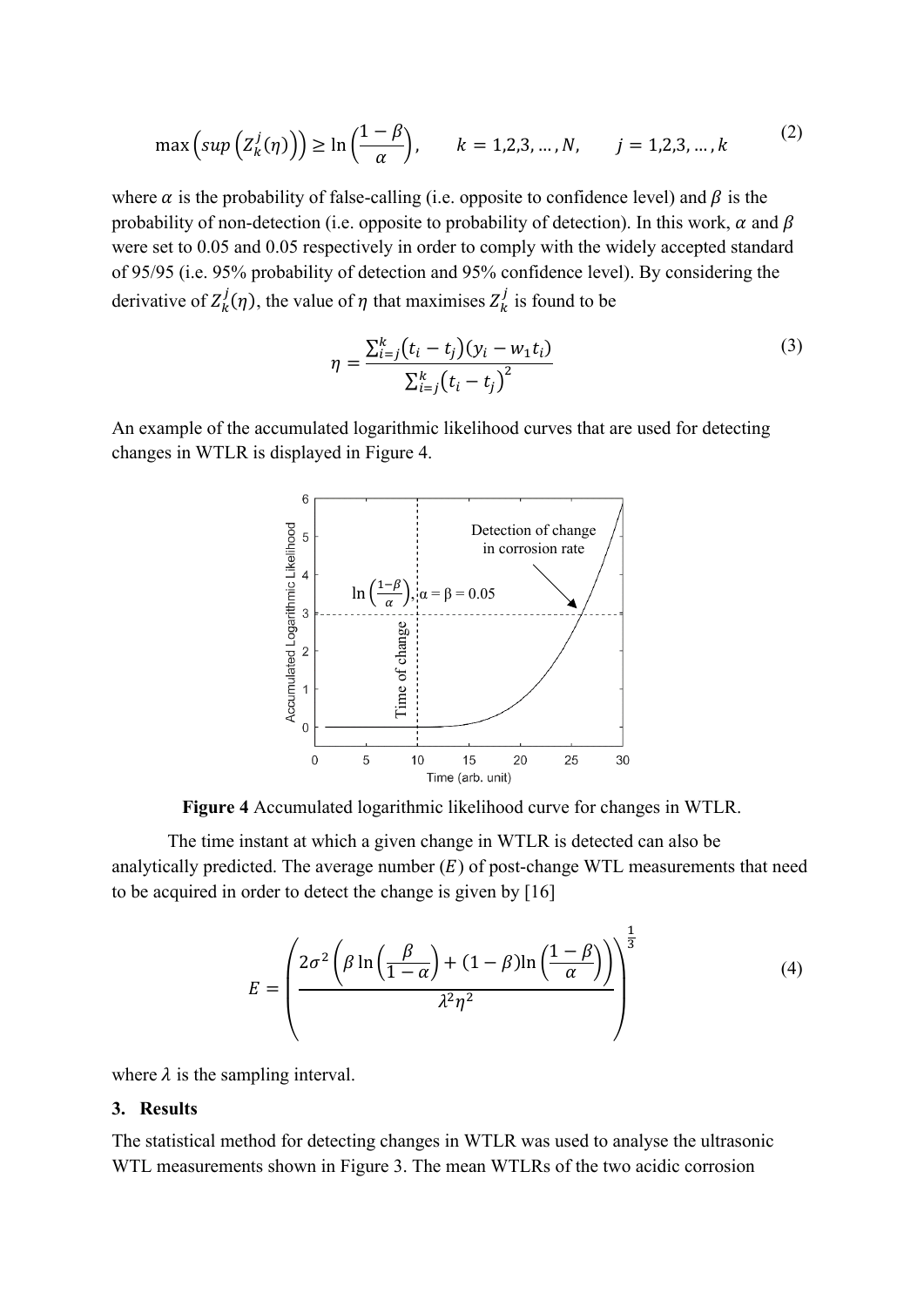$$
\max\left(\sup\left(\mathcal{Z}_k^j(\eta)\right)\right) \ge \ln\left(\frac{1-\beta}{\alpha}\right), \qquad k = 1, 2, 3, \dots, N, \qquad j = 1, 2, 3, \dots, k
$$
 (2)

where  $\alpha$  is the probability of false-calling (i.e. opposite to confidence level) and  $\beta$  is the probability of non-detection (i.e. opposite to probability of detection). In this work,  $\alpha$  and  $\beta$ were set to 0.05 and 0.05 respectively in order to comply with the widely accepted standard of 95/95 (i.e. 95% probability of detection and 95% confidence level). By considering the derivative of  $Z_k^j(\eta)$ , the value of  $\eta$  that maximises  $Z_k^j$  is found to be

$$
\eta = \frac{\sum_{i=j}^{k} (t_i - t_j)(y_i - w_1 t_i)}{\sum_{i=j}^{k} (t_i - t_j)^2}
$$
\n(3)

An example of the accumulated logarithmic likelihood curves that are used for detecting changes in WTLR is displayed in Figure 4.



**Figure 4** Accumulated logarithmic likelihood curve for changes in WTLR.

The time instant at which a given change in WTLR is detected can also be analytically predicted. The average number  $(E)$  of post-change WTL measurements that need to be acquired in order to detect the change is given by [16]

$$
E = \left(\frac{2\sigma^2 \left(\beta \ln\left(\frac{\beta}{1-\alpha}\right) + (1-\beta)\ln\left(\frac{1-\beta}{\alpha}\right)\right)}{\lambda^2 \eta^2}\right)^{\frac{1}{3}}\tag{4}
$$

where  $\lambda$  is the sampling interval.

#### **3. Results**

The statistical method for detecting changes in WTLR was used to analyse the ultrasonic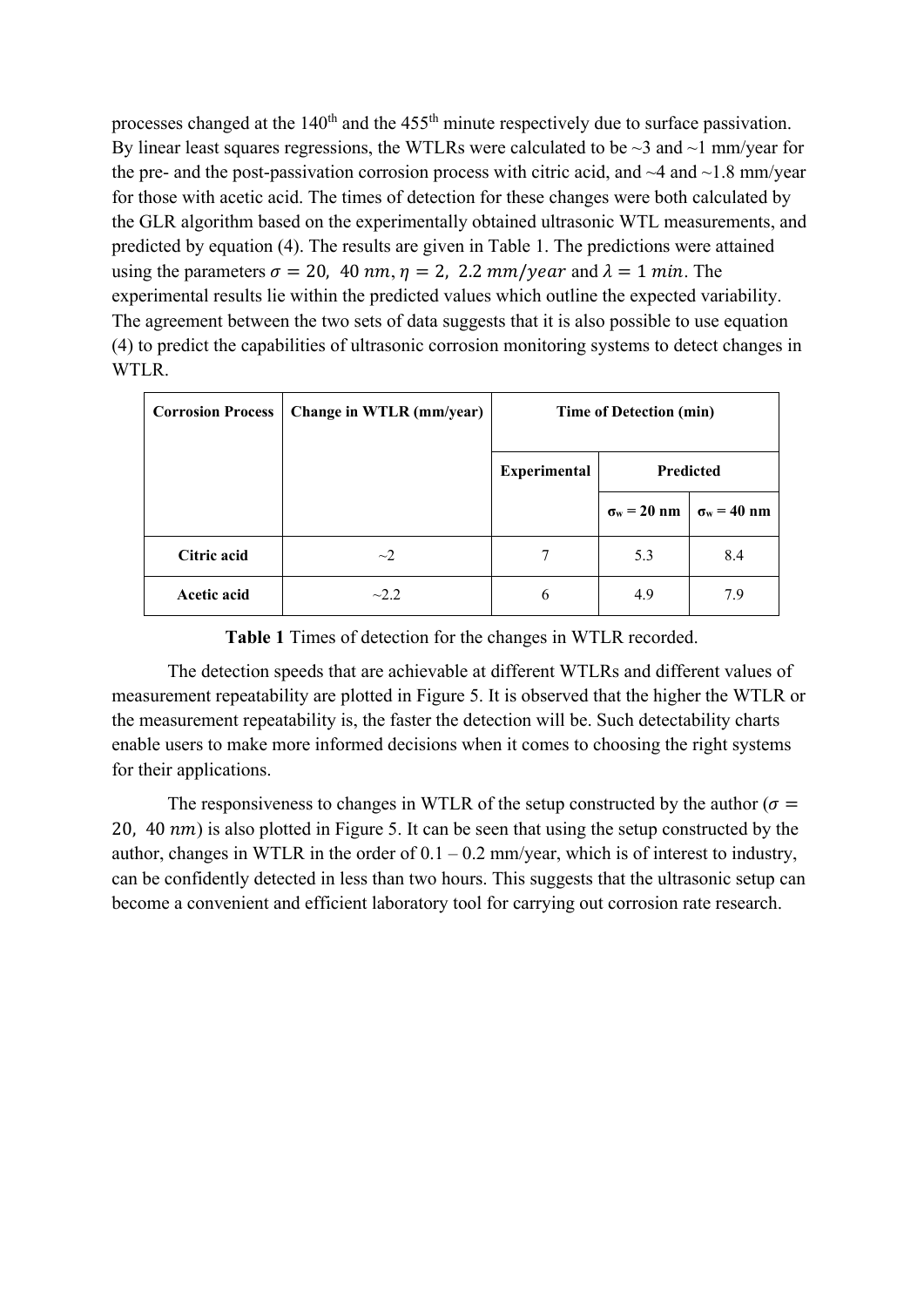processes changed at the  $140<sup>th</sup>$  and the  $455<sup>th</sup>$  minute respectively due to surface passivation. By linear least squares regressions, the WTLRs were calculated to be  $\sim$ 3 and  $\sim$ 1 mm/year for the pre- and the post-passivation corrosion process with citric acid, and  $\sim$ 4 and  $\sim$ 1.8 mm/year for those with acetic acid. The times of detection for these changes were both calculated by the GLR algorithm based on the experimentally obtained ultrasonic WTL measurements, and predicted by equation (4). The results are given in Table 1. The predictions were attained using the parameters  $\sigma = 20$ , 40 nm,  $\eta = 2$ , 2.2 mm/year and  $\lambda = 1$  min. The experimental results lie within the predicted values which outline the expected variability. The agreement between the two sets of data suggests that it is also possible to use equation (4) to predict the capabilities of ultrasonic corrosion monitoring systems to detect changes in WTLR.

| <b>Corrosion Process</b> | Change in WTLR (mm/year) | <b>Time of Detection (min)</b> |                              |                    |
|--------------------------|--------------------------|--------------------------------|------------------------------|--------------------|
|                          |                          | <b>Experimental</b>            | <b>Predicted</b>             |                    |
|                          |                          |                                | $\sigma_{\rm w} = 20~\rm nm$ | $\sigma_w = 40$ nm |
| Citric acid              | $\sim$ 2                 |                                | 5.3                          | 8.4                |
| Acetic acid              | $-2.2$                   | 6                              | 4.9                          | 7.9                |

# **Table 1** Times of detection for the changes in WTLR recorded.

The detection speeds that are achievable at different WTLRs and different values of measurement repeatability are plotted in Figure 5. It is observed that the higher the WTLR or the measurement repeatability is, the faster the detection will be. Such detectability charts enable users to make more informed decisions when it comes to choosing the right systems for their applications.

The responsiveness to changes in WTLR of the setup constructed by the author ( $\sigma$  = 20, 40  $nm$ ) is also plotted in Figure 5. It can be seen that using the setup constructed by the author, changes in WTLR in the order of  $0.1 - 0.2$  mm/year, which is of interest to industry, can be confidently detected in less than two hours. This suggests that the ultrasonic setup can become a convenient and efficient laboratory tool for carrying out corrosion rate research.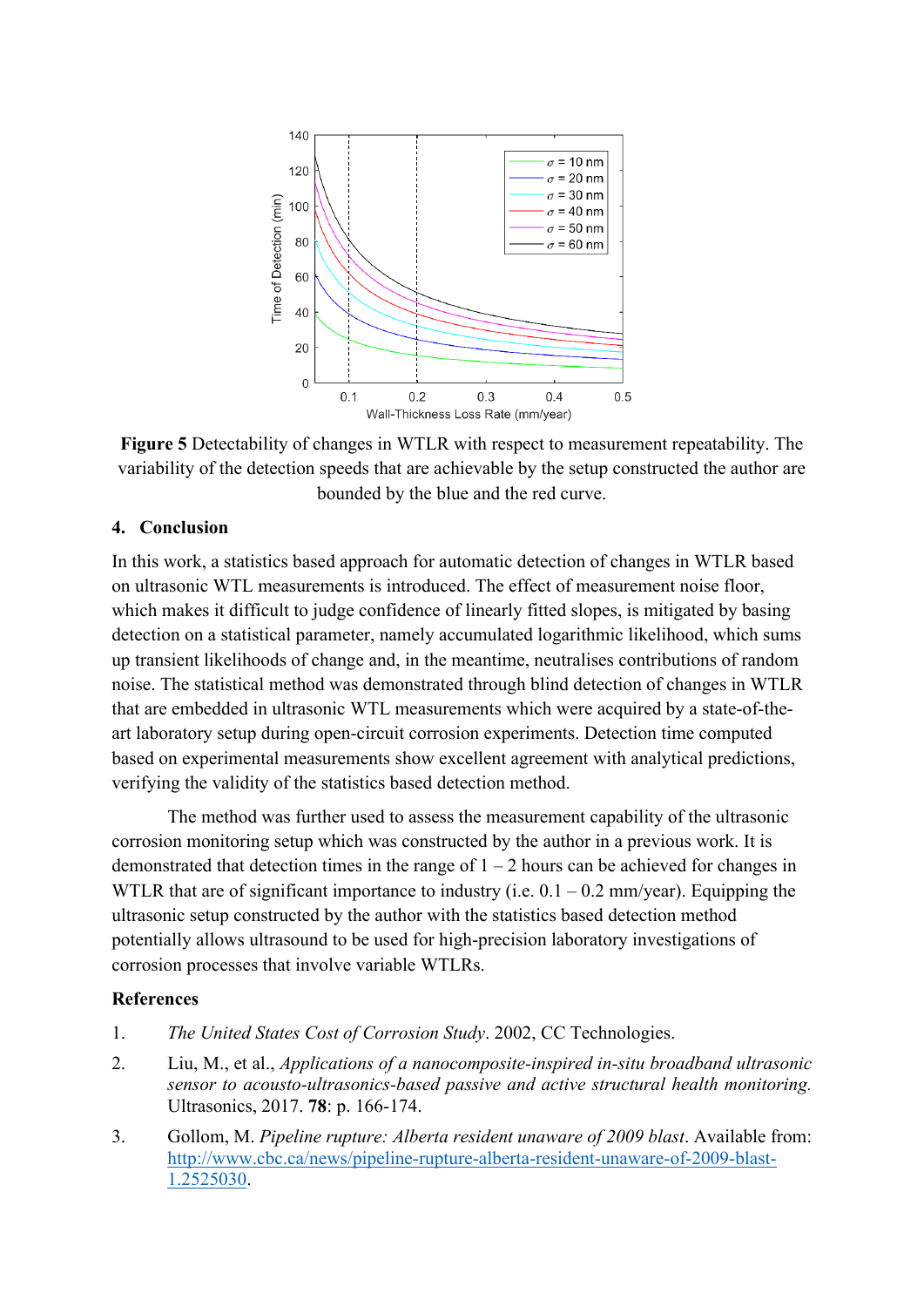

**Figure 5** Detectability of changes in WTLR with respect to measurement repeatability. The variability of the detection speeds that are achievable by the setup constructed the author are bounded by the blue and the red curve.

## **4. Conclusion**

In this work, a statistics based approach for automatic detection of changes in WTLR based on ultrasonic WTL measurements is introduced. The effect of measurement noise floor, which makes it difficult to judge confidence of linearly fitted slopes, is mitigated by basing detection on a statistical parameter, namely accumulated logarithmic likelihood, which sums up transient likelihoods of change and, in the meantime, neutralises contributions of random noise. The statistical method was demonstrated through blind detection of changes in WTLR that are embedded in ultrasonic WTL measurements which were acquired by a state-of-theart laboratory setup during open-circuit corrosion experiments. Detection time computed based on experimental measurements show excellent agreement with analytical predictions, verifying the validity of the statistics based detection method.

The method was further used to assess the measurement capability of the ultrasonic corrosion monitoring setup which was constructed by the author in a previous work. It is demonstrated that detection times in the range of  $1 - 2$  hours can be achieved for changes in WTLR that are of significant importance to industry (i.e.  $0.1 - 0.2$  mm/year). Equipping the ultrasonic setup constructed by the author with the statistics based detection method potentially allows ultrasound to be used for high-precision laboratory investigations of corrosion processes that involve variable WTLRs.

#### **References**

- 1. *The United States Cost of Corrosion Study*. 2002, CC Technologies.
- 2. Liu, M., et al., *Applications of a nanocomposite-inspired in-situ broadband ultrasonic sensor to acousto-ultrasonics-based passive and active structural health monitoring.* Ultrasonics, 2017. **78**: p. 166-174.
- 3. Gollom, M. *Pipeline rupture: Alberta resident unaware of 2009 blast*. Available from: [http://www.cbc.ca/news/pipeline-rupture-alberta-resident-unaware-of-2009-blast-](http://www.cbc.ca/news/pipeline-rupture-alberta-resident-unaware-of-2009-blast-1.2525030)[1.2525030.](http://www.cbc.ca/news/pipeline-rupture-alberta-resident-unaware-of-2009-blast-1.2525030)